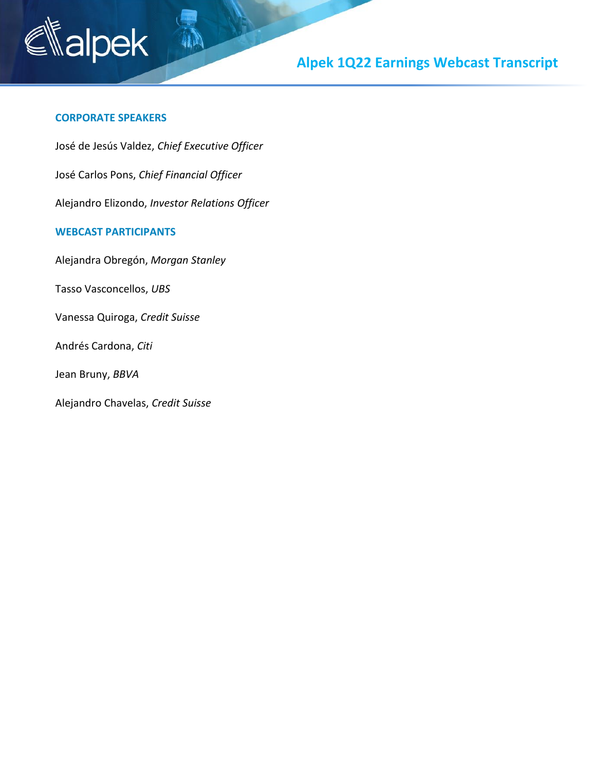

# **Alpek 1Q22 Earnings Webcast Transcript**

#### **CORPORATE SPEAKERS**

José de Jesús Valdez, *Chief Executive Officer*

José Carlos Pons, *Chief Financial Officer*

Alejandro Elizondo, *Investor Relations Officer*

#### **WEBCAST PARTICIPANTS**

Alejandra Obregón, *Morgan Stanley*

Tasso Vasconcellos, *UBS*

Vanessa Quiroga, *Credit Suisse*

Andrés Cardona, *Citi*

Jean Bruny, *BBVA*

Alejandro Chavelas, *Credit Suisse*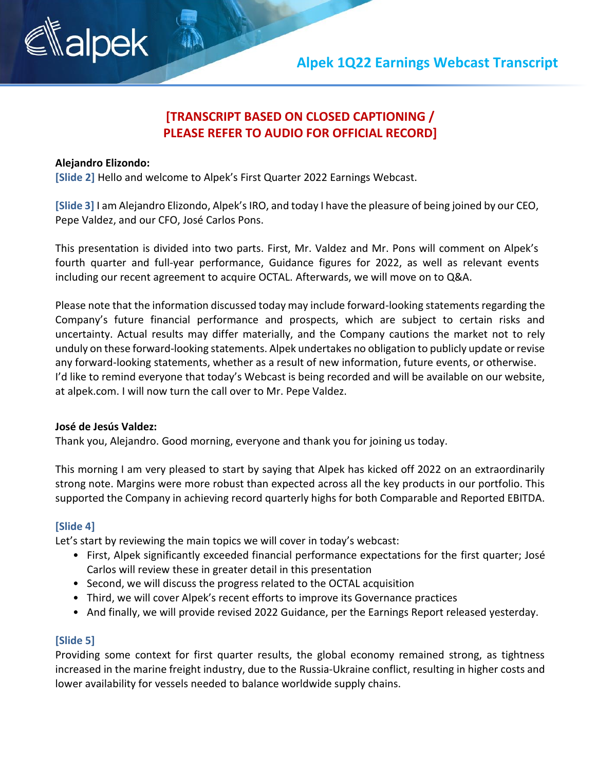

### **[TRANSCRIPT BASED ON CLOSED CAPTIONING / PLEASE REFER TO AUDIO FOR OFFICIAL RECORD]**

#### **Alejandro Elizondo:**

**[Slide 2]** Hello and welcome to Alpek's First Quarter 2022 Earnings Webcast.

**[Slide 3]** I am Alejandro Elizondo, Alpek's IRO, and today I have the pleasure of being joined by our CEO, Pepe Valdez, and our CFO, José Carlos Pons.

This presentation is divided into two parts. First, Mr. Valdez and Mr. Pons will comment on Alpek's fourth quarter and full-year performance, Guidance figures for 2022, as well as relevant events including our recent agreement to acquire OCTAL. Afterwards, we will move on to Q&A.

Please note that the information discussed today may include forward-looking statements regarding the Company's future financial performance and prospects, which are subject to certain risks and uncertainty. Actual results may differ materially, and the Company cautions the market not to rely unduly on these forward-looking statements. Alpek undertakes no obligation to publicly update or revise any forward-looking statements, whether as a result of new information, future events, or otherwise. I'd like to remind everyone that today's Webcast is being recorded and will be available on our website, at alpek.com. I will now turn the call over to Mr. Pepe Valdez.

#### **José de Jesús Valdez:**

Thank you, Alejandro. Good morning, everyone and thank you for joining us today.

This morning I am very pleased to start by saying that Alpek has kicked off 2022 on an extraordinarily strong note. Margins were more robust than expected across all the key products in our portfolio. This supported the Company in achieving record quarterly highs for both Comparable and Reported EBITDA.

#### **[Slide 4]**

Let's start by reviewing the main topics we will cover in today's webcast:

- First, Alpek significantly exceeded financial performance expectations for the first quarter; José Carlos will review these in greater detail in this presentation
- Second, we will discuss the progress related to the OCTAL acquisition
- Third, we will cover Alpek's recent efforts to improve its Governance practices
- And finally, we will provide revised 2022 Guidance, per the Earnings Report released yesterday.

#### **[Slide 5]**

Providing some context for first quarter results, the global economy remained strong, as tightness increased in the marine freight industry, due to the Russia-Ukraine conflict, resulting in higher costs and lower availability for vessels needed to balance worldwide supply chains.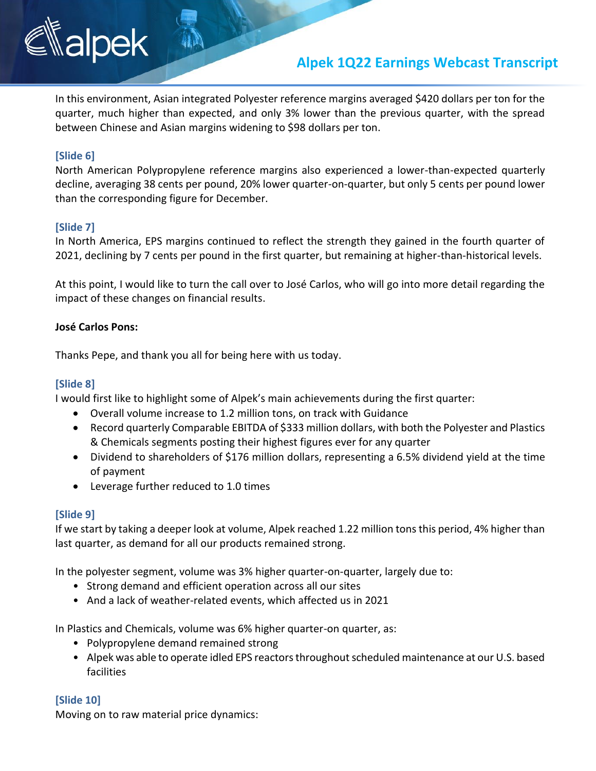## **Alpek 1Q22 Earnings Webcast Transcript**

In this environment, Asian integrated Polyester reference margins averaged \$420 dollars per ton for the quarter, much higher than expected, and only 3% lower than the previous quarter, with the spread between Chinese and Asian margins widening to \$98 dollars per ton.

### **[Slide 6]**

North American Polypropylene reference margins also experienced a lower-than-expected quarterly decline, averaging 38 cents per pound, 20% lower quarter-on-quarter, but only 5 cents per pound lower than the corresponding figure for December.

#### **[Slide 7]**

In North America, EPS margins continued to reflect the strength they gained in the fourth quarter of 2021, declining by 7 cents per pound in the first quarter, but remaining at higher-than-historical levels.

At this point, I would like to turn the call over to José Carlos, who will go into more detail regarding the impact of these changes on financial results.

#### **José Carlos Pons:**

Thanks Pepe, and thank you all for being here with us today.

### **[Slide 8]**

I would first like to highlight some of Alpek's main achievements during the first quarter:

- Overall volume increase to 1.2 million tons, on track with Guidance
- Record quarterly Comparable EBITDA of \$333 million dollars, with both the Polyester and Plastics & Chemicals segments posting their highest figures ever for any quarter
- Dividend to shareholders of \$176 million dollars, representing a 6.5% dividend yield at the time of payment
- Leverage further reduced to 1.0 times

#### **[Slide 9]**

If we start by taking a deeper look at volume, Alpek reached 1.22 million tons this period, 4% higher than last quarter, as demand for all our products remained strong.

In the polyester segment, volume was 3% higher quarter-on-quarter, largely due to:

- Strong demand and efficient operation across all our sites
- And a lack of weather-related events, which affected us in 2021

In Plastics and Chemicals, volume was 6% higher quarter-on quarter, as:

- Polypropylene demand remained strong
- Alpek was able to operate idled EPS reactors throughout scheduled maintenance at our U.S. based facilities

#### **[Slide 10]**

Moving on to raw material price dynamics: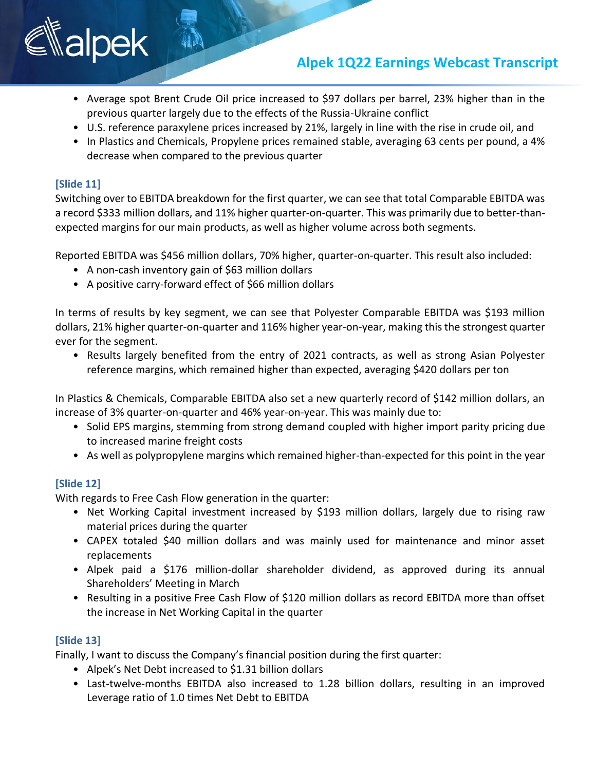## **Alpek 1Q22 Earnings Webcast Transcript**

- Average spot Brent Crude Oil price increased to \$97 dollars per barrel, 23% higher than in the previous quarter largely due to the effects of the Russia-Ukraine conflict
- U.S. reference paraxylene prices increased by 21%, largely in line with the rise in crude oil, and
- In Plastics and Chemicals, Propylene prices remained stable, averaging 63 cents per pound, a 4% decrease when compared to the previous quarter

### **[Slide 11]**

Switching over to EBITDA breakdown for the first quarter, we can see that total Comparable EBITDA was a record \$333 million dollars, and 11% higher quarter-on-quarter. This was primarily due to better-thanexpected margins for our main products, as well as higher volume across both segments.

Reported EBITDA was \$456 million dollars, 70% higher, quarter-on-quarter. This result also included:

- A non-cash inventory gain of \$63 million dollars
- A positive carry-forward effect of \$66 million dollars

In terms of results by key segment, we can see that Polyester Comparable EBITDA was \$193 million dollars, 21% higher quarter-on-quarter and 116% higher year-on-year, making this the strongest quarter ever for the segment.

• Results largely benefited from the entry of 2021 contracts, as well as strong Asian Polyester reference margins, which remained higher than expected, averaging \$420 dollars per ton

In Plastics & Chemicals, Comparable EBITDA also set a new quarterly record of \$142 million dollars, an increase of 3% quarter-on-quarter and 46% year-on-year. This was mainly due to:

- Solid EPS margins, stemming from strong demand coupled with higher import parity pricing due to increased marine freight costs
- As well as polypropylene margins which remained higher-than-expected for this point in the year

### **[Slide 12]**

With regards to Free Cash Flow generation in the quarter:

- Net Working Capital investment increased by \$193 million dollars, largely due to rising raw material prices during the quarter
- CAPEX totaled \$40 million dollars and was mainly used for maintenance and minor asset replacements
- Alpek paid a \$176 million-dollar shareholder dividend, as approved during its annual Shareholders' Meeting in March
- Resulting in a positive Free Cash Flow of \$120 million dollars as record EBITDA more than offset the increase in Net Working Capital in the quarter

### **[Slide 13]**

Finally, I want to discuss the Company's financial position during the first quarter:

- Alpek's Net Debt increased to \$1.31 billion dollars
- Last-twelve-months EBITDA also increased to 1.28 billion dollars, resulting in an improved Leverage ratio of 1.0 times Net Debt to EBITDA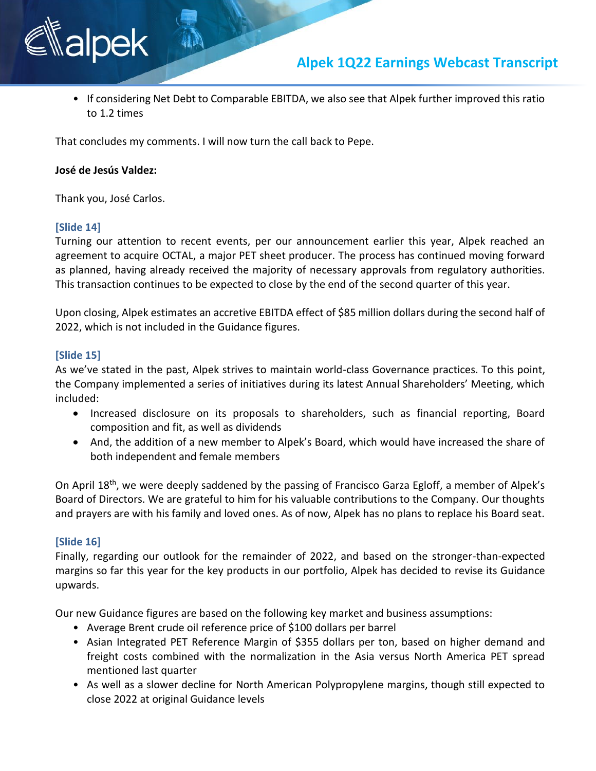

• If considering Net Debt to Comparable EBITDA, we also see that Alpek further improved this ratio to 1.2 times

That concludes my comments. I will now turn the call back to Pepe.

#### **José de Jesús Valdez:**

Thank you, José Carlos.

#### **[Slide 14]**

Turning our attention to recent events, per our announcement earlier this year, Alpek reached an agreement to acquire OCTAL, a major PET sheet producer. The process has continued moving forward as planned, having already received the majority of necessary approvals from regulatory authorities. This transaction continues to be expected to close by the end of the second quarter of this year.

Upon closing, Alpek estimates an accretive EBITDA effect of \$85 million dollars during the second half of 2022, which is not included in the Guidance figures.

#### **[Slide 15]**

As we've stated in the past, Alpek strives to maintain world-class Governance practices. To this point, the Company implemented a series of initiatives during its latest Annual Shareholders' Meeting, which included:

- Increased disclosure on its proposals to shareholders, such as financial reporting, Board composition and fit, as well as dividends
- And, the addition of a new member to Alpek's Board, which would have increased the share of both independent and female members

On April 18th, we were deeply saddened by the passing of Francisco Garza Egloff, a member of Alpek's Board of Directors. We are grateful to him for his valuable contributions to the Company. Our thoughts and prayers are with his family and loved ones. As of now, Alpek has no plans to replace his Board seat.

#### **[Slide 16]**

Finally, regarding our outlook for the remainder of 2022, and based on the stronger-than-expected margins so far this year for the key products in our portfolio, Alpek has decided to revise its Guidance upwards.

Our new Guidance figures are based on the following key market and business assumptions:

- Average Brent crude oil reference price of \$100 dollars per barrel
- Asian Integrated PET Reference Margin of \$355 dollars per ton, based on higher demand and freight costs combined with the normalization in the Asia versus North America PET spread mentioned last quarter
- As well as a slower decline for North American Polypropylene margins, though still expected to close 2022 at original Guidance levels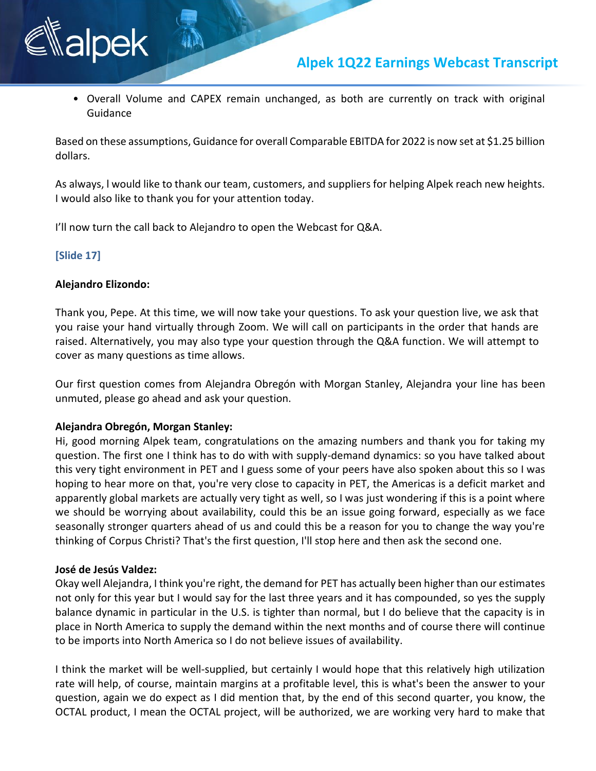

• Overall Volume and CAPEX remain unchanged, as both are currently on track with original Guidance

Based on these assumptions, Guidance for overall Comparable EBITDA for 2022 is now set at \$1.25 billion dollars.

As always, l would like to thank our team, customers, and suppliers for helping Alpek reach new heights. I would also like to thank you for your attention today.

I'll now turn the call back to Alejandro to open the Webcast for Q&A.

#### **[Slide 17]**

#### **Alejandro Elizondo:**

alpek

Thank you, Pepe. At this time, we will now take your questions. To ask your question live, we ask that you raise your hand virtually through Zoom. We will call on participants in the order that hands are raised. Alternatively, you may also type your question through the Q&A function. We will attempt to cover as many questions as time allows.

Our first question comes from Alejandra Obregón with Morgan Stanley, Alejandra your line has been unmuted, please go ahead and ask your question.

#### **Alejandra Obregón, Morgan Stanley:**

Hi, good morning Alpek team, congratulations on the amazing numbers and thank you for taking my question. The first one I think has to do with with supply-demand dynamics: so you have talked about this very tight environment in PET and I guess some of your peers have also spoken about this so I was hoping to hear more on that, you're very close to capacity in PET, the Americas is a deficit market and apparently global markets are actually very tight as well, so I was just wondering if this is a point where we should be worrying about availability, could this be an issue going forward, especially as we face seasonally stronger quarters ahead of us and could this be a reason for you to change the way you're thinking of Corpus Christi? That's the first question, I'll stop here and then ask the second one.

#### **José de Jesús Valdez:**

Okay well Alejandra, I think you're right, the demand for PET has actually been higher than our estimates not only for this year but I would say for the last three years and it has compounded, so yes the supply balance dynamic in particular in the U.S. is tighter than normal, but I do believe that the capacity is in place in North America to supply the demand within the next months and of course there will continue to be imports into North America so I do not believe issues of availability.

I think the market will be well-supplied, but certainly I would hope that this relatively high utilization rate will help, of course, maintain margins at a profitable level, this is what's been the answer to your question, again we do expect as I did mention that, by the end of this second quarter, you know, the OCTAL product, I mean the OCTAL project, will be authorized, we are working very hard to make that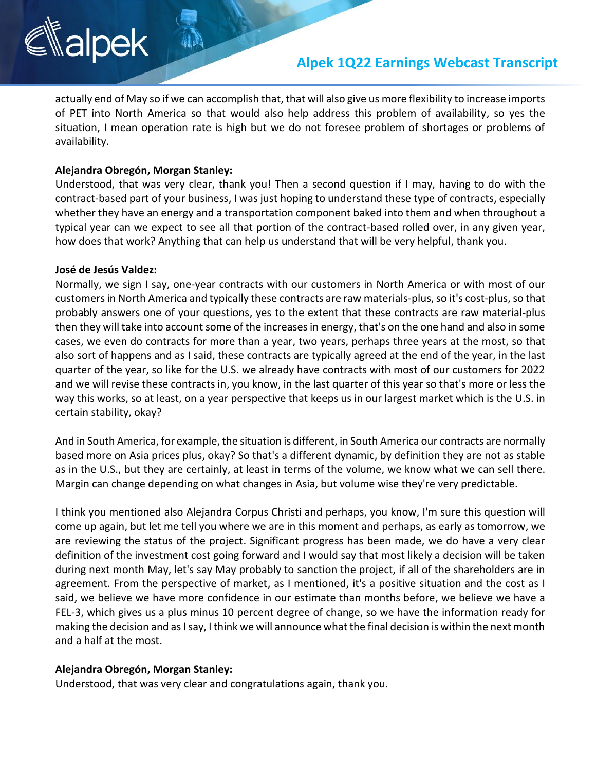### **Alpek 1Q22 Earnings Webcast Transcript**

actually end of May so if we can accomplish that, that will also give us more flexibility to increase imports of PET into North America so that would also help address this problem of availability, so yes the situation, I mean operation rate is high but we do not foresee problem of shortages or problems of availability.

#### **Alejandra Obregón, Morgan Stanley:**

Understood, that was very clear, thank you! Then a second question if I may, having to do with the contract-based part of your business, I was just hoping to understand these type of contracts, especially whether they have an energy and a transportation component baked into them and when throughout a typical year can we expect to see all that portion of the contract-based rolled over, in any given year, how does that work? Anything that can help us understand that will be very helpful, thank you.

#### **José de Jesús Valdez:**

Normally, we sign I say, one-year contracts with our customers in North America or with most of our customers in North America and typically these contracts are raw materials-plus,so it's cost-plus,so that probably answers one of your questions, yes to the extent that these contracts are raw material-plus then they will take into account some of the increases in energy, that's on the one hand and also in some cases, we even do contracts for more than a year, two years, perhaps three years at the most, so that also sort of happens and as I said, these contracts are typically agreed at the end of the year, in the last quarter of the year, so like for the U.S. we already have contracts with most of our customers for 2022 and we will revise these contracts in, you know, in the last quarter of this year so that's more or less the way this works, so at least, on a year perspective that keeps us in our largest market which is the U.S. in certain stability, okay?

And in South America, for example, the situation is different, in South America our contracts are normally based more on Asia prices plus, okay? So that's a different dynamic, by definition they are not as stable as in the U.S., but they are certainly, at least in terms of the volume, we know what we can sell there. Margin can change depending on what changes in Asia, but volume wise they're very predictable.

I think you mentioned also Alejandra Corpus Christi and perhaps, you know, I'm sure this question will come up again, but let me tell you where we are in this moment and perhaps, as early as tomorrow, we are reviewing the status of the project. Significant progress has been made, we do have a very clear definition of the investment cost going forward and I would say that most likely a decision will be taken during next month May, let's say May probably to sanction the project, if all of the shareholders are in agreement. From the perspective of market, as I mentioned, it's a positive situation and the cost as I said, we believe we have more confidence in our estimate than months before, we believe we have a FEL-3, which gives us a plus minus 10 percent degree of change, so we have the information ready for making the decision and as Isay, I think we will announce what the final decision is within the next month and a half at the most.

#### **Alejandra Obregón, Morgan Stanley:**

Understood, that was very clear and congratulations again, thank you.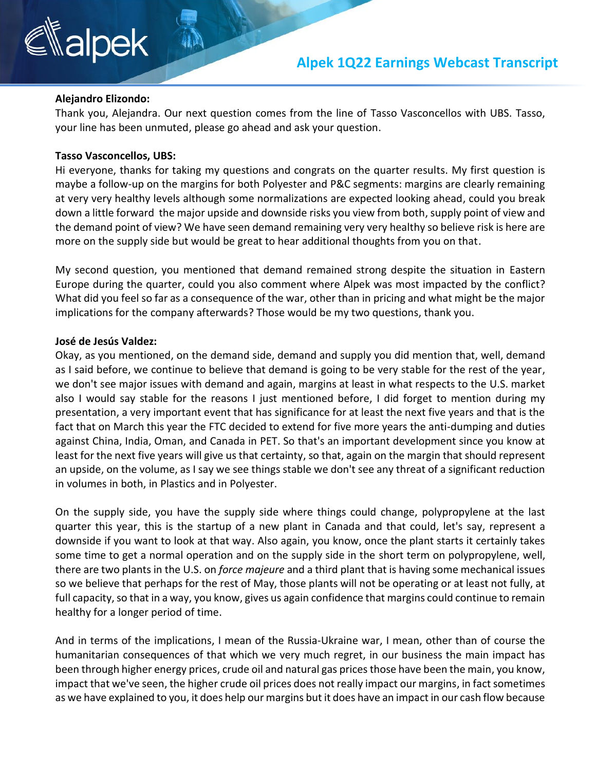#### **Alejandro Elizondo:**

Thank you, Alejandra. Our next question comes from the line of Tasso Vasconcellos with UBS. Tasso, your line has been unmuted, please go ahead and ask your question.

#### **Tasso Vasconcellos, UBS:**

Hi everyone, thanks for taking my questions and congrats on the quarter results. My first question is maybe a follow-up on the margins for both Polyester and P&C segments: margins are clearly remaining at very very healthy levels although some normalizations are expected looking ahead, could you break down a little forward the major upside and downside risks you view from both, supply point of view and the demand point of view? We have seen demand remaining very very healthy so believe risk is here are more on the supply side but would be great to hear additional thoughts from you on that.

My second question, you mentioned that demand remained strong despite the situation in Eastern Europe during the quarter, could you also comment where Alpek was most impacted by the conflict? What did you feel so far as a consequence of the war, other than in pricing and what might be the major implications for the company afterwards? Those would be my two questions, thank you.

#### **José de Jesús Valdez:**

Okay, as you mentioned, on the demand side, demand and supply you did mention that, well, demand as I said before, we continue to believe that demand is going to be very stable for the rest of the year, we don't see major issues with demand and again, margins at least in what respects to the U.S. market also I would say stable for the reasons I just mentioned before, I did forget to mention during my presentation, a very important event that has significance for at least the next five years and that is the fact that on March this year the FTC decided to extend for five more years the anti-dumping and duties against China, India, Oman, and Canada in PET. So that's an important development since you know at least for the next five years will give us that certainty, so that, again on the margin that should represent an upside, on the volume, as I say we see things stable we don't see any threat of a significant reduction in volumes in both, in Plastics and in Polyester.

On the supply side, you have the supply side where things could change, polypropylene at the last quarter this year, this is the startup of a new plant in Canada and that could, let's say, represent a downside if you want to look at that way. Also again, you know, once the plant starts it certainly takes some time to get a normal operation and on the supply side in the short term on polypropylene, well, there are two plants in the U.S. on *force majeure* and a third plant that is having some mechanical issues so we believe that perhaps for the rest of May, those plants will not be operating or at least not fully, at full capacity, so that in a way, you know, gives us again confidence that margins could continue to remain healthy for a longer period of time.

And in terms of the implications, I mean of the Russia-Ukraine war, I mean, other than of course the humanitarian consequences of that which we very much regret, in our business the main impact has been through higher energy prices, crude oil and natural gas prices those have been the main, you know, impact that we've seen, the higher crude oil prices does not really impact our margins, in fact sometimes as we have explained to you, it does help our margins but it does have an impact in our cash flow because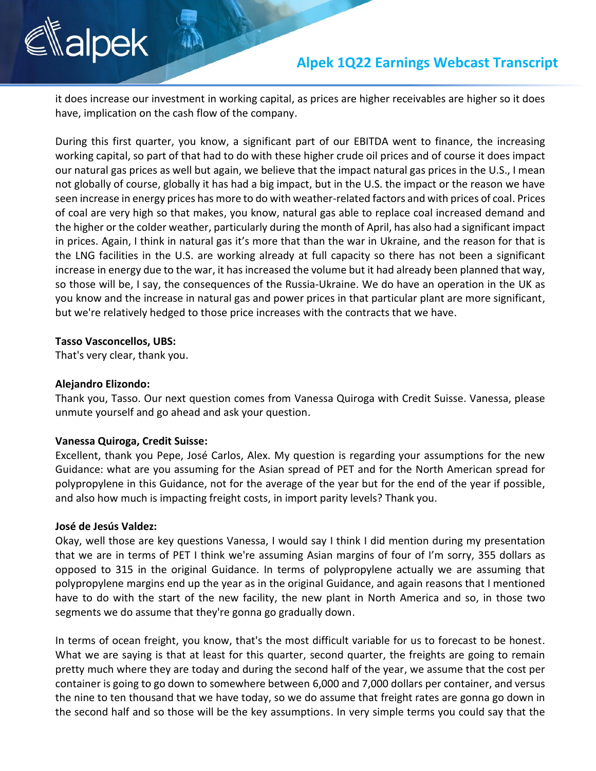it does increase our investment in working capital, as prices are higher receivables are higher so it does have, implication on the cash flow of the company.

During this first quarter, you know, a significant part of our EBITDA went to finance, the increasing working capital, so part of that had to do with these higher crude oil prices and of course it does impact our natural gas prices as well but again, we believe that the impact natural gas prices in the U.S., I mean not globally of course, globally it has had a big impact, but in the U.S. the impact or the reason we have seen increase in energy prices has more to do with weather-related factors and with prices of coal. Prices of coal are very high so that makes, you know, natural gas able to replace coal increased demand and the higher or the colder weather, particularly during the month of April, has also had a significant impact in prices. Again, I think in natural gas it's more that than the war in Ukraine, and the reason for that is the LNG facilities in the U.S. are working already at full capacity so there has not been a significant increase in energy due to the war, it has increased the volume but it had already been planned that way, so those will be, I say, the consequences of the Russia-Ukraine. We do have an operation in the UK as you know and the increase in natural gas and power prices in that particular plant are more significant, but we're relatively hedged to those price increases with the contracts that we have.

#### **Tasso Vasconcellos, UBS:**

That's very clear, thank you.

#### **Alejandro Elizondo:**

Thank you, Tasso. Our next question comes from Vanessa Quiroga with Credit Suisse. Vanessa, please unmute yourself and go ahead and ask your question.

#### **Vanessa Quiroga, Credit Suisse:**

Excellent, thank you Pepe, José Carlos, Alex. My question is regarding your assumptions for the new Guidance: what are you assuming for the Asian spread of PET and for the North American spread for polypropylene in this Guidance, not for the average of the year but for the end of the year if possible, and also how much is impacting freight costs, in import parity levels? Thank you.

#### **José de Jesús Valdez:**

Okay, well those are key questions Vanessa, I would say I think I did mention during my presentation that we are in terms of PET I think we're assuming Asian margins of four of I'm sorry, 355 dollars as opposed to 315 in the original Guidance. In terms of polypropylene actually we are assuming that polypropylene margins end up the year as in the original Guidance, and again reasons that I mentioned have to do with the start of the new facility, the new plant in North America and so, in those two segments we do assume that they're gonna go gradually down.

In terms of ocean freight, you know, that's the most difficult variable for us to forecast to be honest. What we are saying is that at least for this quarter, second quarter, the freights are going to remain pretty much where they are today and during the second half of the year, we assume that the cost per container is going to go down to somewhere between 6,000 and 7,000 dollars per container, and versus the nine to ten thousand that we have today, so we do assume that freight rates are gonna go down in the second half and so those will be the key assumptions. In very simple terms you could say that the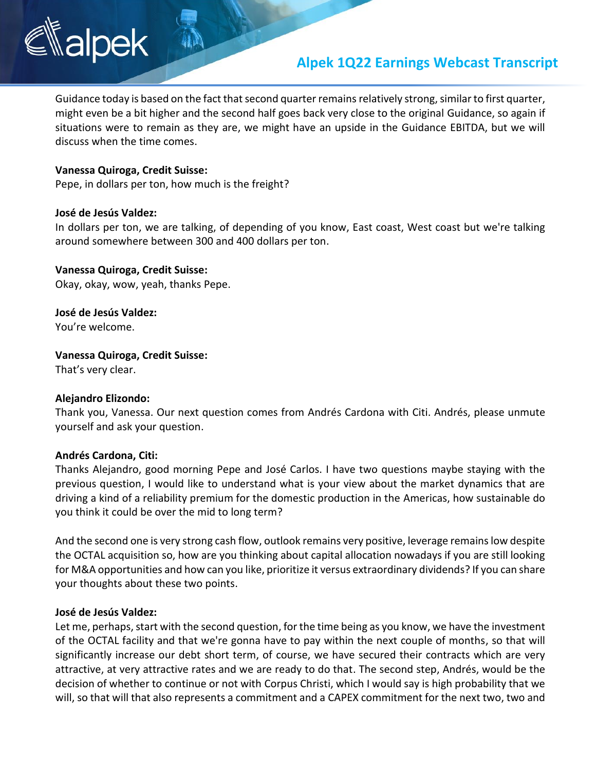## **Alpek 1Q22 Earnings Webcast Transcript**

Guidance today is based on the fact that second quarter remains relatively strong, similar to first quarter, might even be a bit higher and the second half goes back very close to the original Guidance, so again if situations were to remain as they are, we might have an upside in the Guidance EBITDA, but we will discuss when the time comes.

#### **Vanessa Quiroga, Credit Suisse:**

Pepe, in dollars per ton, how much is the freight?

#### **José de Jesús Valdez:**

In dollars per ton, we are talking, of depending of you know, East coast, West coast but we're talking around somewhere between 300 and 400 dollars per ton.

#### **Vanessa Quiroga, Credit Suisse:**

Okay, okay, wow, yeah, thanks Pepe.

**José de Jesús Valdez:** You're welcome.

#### **Vanessa Quiroga, Credit Suisse:**

That's very clear.

#### **Alejandro Elizondo:**

Thank you, Vanessa. Our next question comes from Andrés Cardona with Citi. Andrés, please unmute yourself and ask your question.

#### **Andrés Cardona, Citi:**

Thanks Alejandro, good morning Pepe and José Carlos. I have two questions maybe staying with the previous question, I would like to understand what is your view about the market dynamics that are driving a kind of a reliability premium for the domestic production in the Americas, how sustainable do you think it could be over the mid to long term?

And the second one is very strong cash flow, outlook remains very positive, leverage remains low despite the OCTAL acquisition so, how are you thinking about capital allocation nowadays if you are still looking for M&A opportunities and how can you like, prioritize it versus extraordinary dividends? If you can share your thoughts about these two points.

#### **José de Jesús Valdez:**

Let me, perhaps, start with the second question, for the time being as you know, we have the investment of the OCTAL facility and that we're gonna have to pay within the next couple of months, so that will significantly increase our debt short term, of course, we have secured their contracts which are very attractive, at very attractive rates and we are ready to do that. The second step, Andrés, would be the decision of whether to continue or not with Corpus Christi, which I would say is high probability that we will, so that will that also represents a commitment and a CAPEX commitment for the next two, two and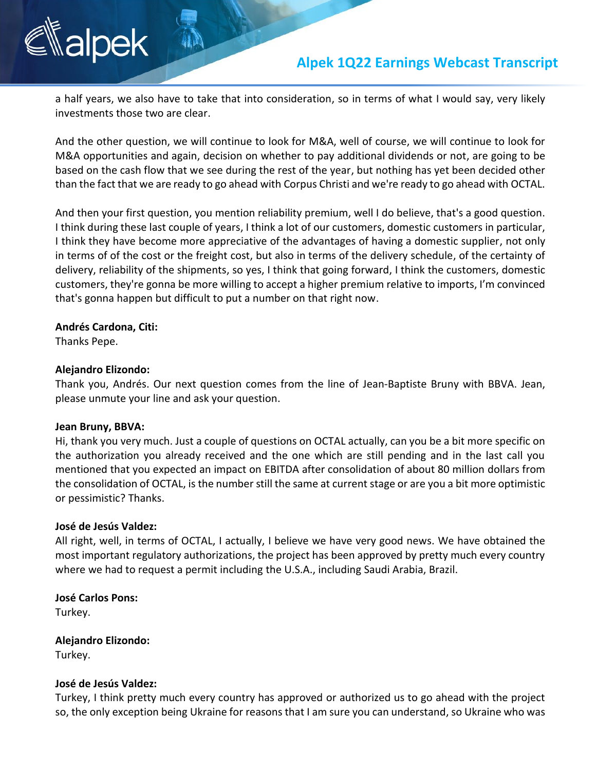

a half years, we also have to take that into consideration, so in terms of what I would say, very likely investments those two are clear.

And the other question, we will continue to look for M&A, well of course, we will continue to look for M&A opportunities and again, decision on whether to pay additional dividends or not, are going to be based on the cash flow that we see during the rest of the year, but nothing has yet been decided other than the fact that we are ready to go ahead with Corpus Christi and we're ready to go ahead with OCTAL.

And then your first question, you mention reliability premium, well I do believe, that's a good question. I think during these last couple of years, I think a lot of our customers, domestic customers in particular, I think they have become more appreciative of the advantages of having a domestic supplier, not only in terms of of the cost or the freight cost, but also in terms of the delivery schedule, of the certainty of delivery, reliability of the shipments, so yes, I think that going forward, I think the customers, domestic customers, they're gonna be more willing to accept a higher premium relative to imports, I'm convinced that's gonna happen but difficult to put a number on that right now.

#### **Andrés Cardona, Citi:**

Thanks Pepe.

#### **Alejandro Elizondo:**

Thank you, Andrés. Our next question comes from the line of Jean-Baptiste Bruny with BBVA. Jean, please unmute your line and ask your question.

#### **Jean Bruny, BBVA:**

Hi, thank you very much. Just a couple of questions on OCTAL actually, can you be a bit more specific on the authorization you already received and the one which are still pending and in the last call you mentioned that you expected an impact on EBITDA after consolidation of about 80 million dollars from the consolidation of OCTAL, is the number still the same at current stage or are you a bit more optimistic or pessimistic? Thanks.

#### **José de Jesús Valdez:**

All right, well, in terms of OCTAL, I actually, I believe we have very good news. We have obtained the most important regulatory authorizations, the project has been approved by pretty much every country where we had to request a permit including the U.S.A., including Saudi Arabia, Brazil.

**José Carlos Pons:** Turkey.

**Alejandro Elizondo:** Turkey.

#### **José de Jesús Valdez:**

Turkey, I think pretty much every country has approved or authorized us to go ahead with the project so, the only exception being Ukraine for reasons that I am sure you can understand, so Ukraine who was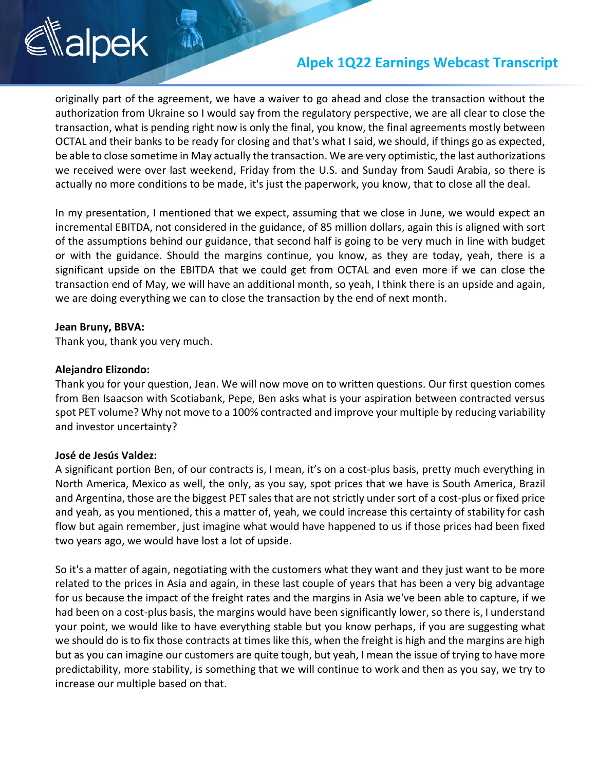## **Alpek 1Q22 Earnings Webcast Transcript**

originally part of the agreement, we have a waiver to go ahead and close the transaction without the authorization from Ukraine so I would say from the regulatory perspective, we are all clear to close the transaction, what is pending right now is only the final, you know, the final agreements mostly between OCTAL and their banks to be ready for closing and that's what I said, we should, if things go as expected, be able to close sometime in May actually the transaction. We are very optimistic, the last authorizations we received were over last weekend, Friday from the U.S. and Sunday from Saudi Arabia, so there is actually no more conditions to be made, it's just the paperwork, you know, that to close all the deal.

In my presentation, I mentioned that we expect, assuming that we close in June, we would expect an incremental EBITDA, not considered in the guidance, of 85 million dollars, again this is aligned with sort of the assumptions behind our guidance, that second half is going to be very much in line with budget or with the guidance. Should the margins continue, you know, as they are today, yeah, there is a significant upside on the EBITDA that we could get from OCTAL and even more if we can close the transaction end of May, we will have an additional month, so yeah, I think there is an upside and again, we are doing everything we can to close the transaction by the end of next month.

#### **Jean Bruny, BBVA:**

Thank you, thank you very much.

#### **Alejandro Elizondo:**

Thank you for your question, Jean. We will now move on to written questions. Our first question comes from Ben Isaacson with Scotiabank, Pepe, Ben asks what is your aspiration between contracted versus spot PET volume? Why not move to a 100% contracted and improve your multiple by reducing variability and investor uncertainty?

#### **José de Jesús Valdez:**

A significant portion Ben, of our contracts is, I mean, it's on a cost-plus basis, pretty much everything in North America, Mexico as well, the only, as you say, spot prices that we have is South America, Brazil and Argentina, those are the biggest PET sales that are not strictly under sort of a cost-plus or fixed price and yeah, as you mentioned, this a matter of, yeah, we could increase this certainty of stability for cash flow but again remember, just imagine what would have happened to us if those prices had been fixed two years ago, we would have lost a lot of upside.

So it's a matter of again, negotiating with the customers what they want and they just want to be more related to the prices in Asia and again, in these last couple of years that has been a very big advantage for us because the impact of the freight rates and the margins in Asia we've been able to capture, if we had been on a cost-plus basis, the margins would have been significantly lower, so there is, I understand your point, we would like to have everything stable but you know perhaps, if you are suggesting what we should do is to fix those contracts at times like this, when the freight is high and the margins are high but as you can imagine our customers are quite tough, but yeah, I mean the issue of trying to have more predictability, more stability, is something that we will continue to work and then as you say, we try to increase our multiple based on that.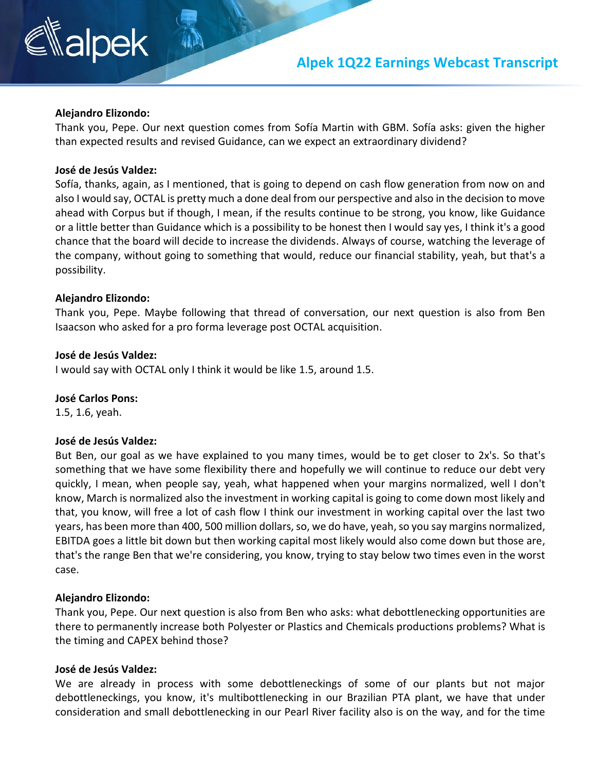### **Alpek 1Q22 Earnings Webcast Transcript**

# alpek

#### **Alejandro Elizondo:**

Thank you, Pepe. Our next question comes from Sofía Martin with GBM. Sofía asks: given the higher than expected results and revised Guidance, can we expect an extraordinary dividend?

#### **José de Jesús Valdez:**

Sofía, thanks, again, as I mentioned, that is going to depend on cash flow generation from now on and also I would say, OCTAL is pretty much a done deal from our perspective and also in the decision to move ahead with Corpus but if though, I mean, if the results continue to be strong, you know, like Guidance or a little better than Guidance which is a possibility to be honest then I would say yes, I think it's a good chance that the board will decide to increase the dividends. Always of course, watching the leverage of the company, without going to something that would, reduce our financial stability, yeah, but that's a possibility.

#### **Alejandro Elizondo:**

Thank you, Pepe. Maybe following that thread of conversation, our next question is also from Ben Isaacson who asked for a pro forma leverage post OCTAL acquisition.

#### **José de Jesús Valdez:**

I would say with OCTAL only I think it would be like 1.5, around 1.5.

#### **José Carlos Pons:**

1.5, 1.6, yeah.

#### **José de Jesús Valdez:**

But Ben, our goal as we have explained to you many times, would be to get closer to 2x's. So that's something that we have some flexibility there and hopefully we will continue to reduce our debt very quickly, I mean, when people say, yeah, what happened when your margins normalized, well I don't know, March is normalized also the investment in working capital is going to come down most likely and that, you know, will free a lot of cash flow I think our investment in working capital over the last two years, has been more than 400, 500 million dollars, so, we do have, yeah, so you say margins normalized, EBITDA goes a little bit down but then working capital most likely would also come down but those are, that's the range Ben that we're considering, you know, trying to stay below two times even in the worst case.

#### **Alejandro Elizondo:**

Thank you, Pepe. Our next question is also from Ben who asks: what debottlenecking opportunities are there to permanently increase both Polyester or Plastics and Chemicals productions problems? What is the timing and CAPEX behind those?

#### **José de Jesús Valdez:**

We are already in process with some debottleneckings of some of our plants but not major debottleneckings, you know, it's multibottlenecking in our Brazilian PTA plant, we have that under consideration and small debottlenecking in our Pearl River facility also is on the way, and for the time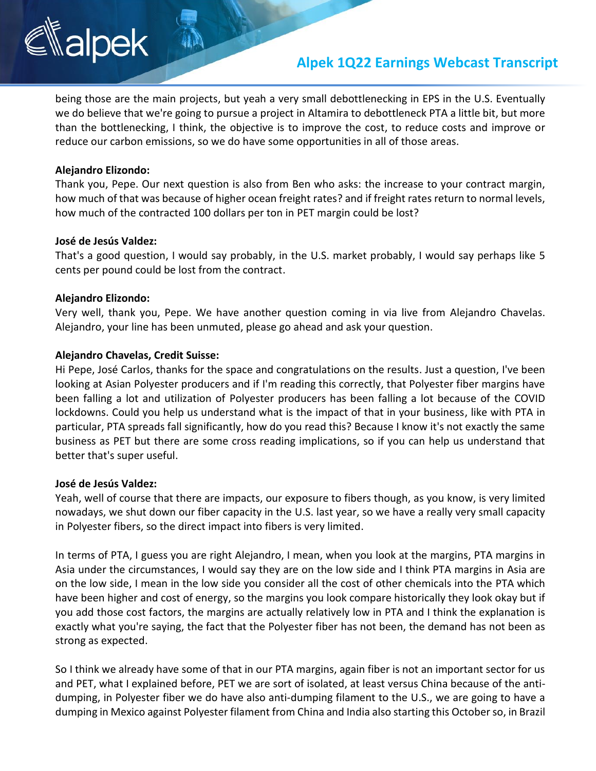## **Alpek 1Q22 Earnings Webcast Transcript**

being those are the main projects, but yeah a very small debottlenecking in EPS in the U.S. Eventually we do believe that we're going to pursue a project in Altamira to debottleneck PTA a little bit, but more than the bottlenecking, I think, the objective is to improve the cost, to reduce costs and improve or reduce our carbon emissions, so we do have some opportunities in all of those areas.

#### **Alejandro Elizondo:**

Thank you, Pepe. Our next question is also from Ben who asks: the increase to your contract margin, how much of that was because of higher ocean freight rates? and if freight rates return to normal levels, how much of the contracted 100 dollars per ton in PET margin could be lost?

#### **José de Jesús Valdez:**

That's a good question, I would say probably, in the U.S. market probably, I would say perhaps like 5 cents per pound could be lost from the contract.

#### **Alejandro Elizondo:**

Very well, thank you, Pepe. We have another question coming in via live from Alejandro Chavelas. Alejandro, your line has been unmuted, please go ahead and ask your question.

#### **Alejandro Chavelas, Credit Suisse:**

Hi Pepe, José Carlos, thanks for the space and congratulations on the results. Just a question, I've been looking at Asian Polyester producers and if I'm reading this correctly, that Polyester fiber margins have been falling a lot and utilization of Polyester producers has been falling a lot because of the COVID lockdowns. Could you help us understand what is the impact of that in your business, like with PTA in particular, PTA spreads fall significantly, how do you read this? Because I know it's not exactly the same business as PET but there are some cross reading implications, so if you can help us understand that better that's super useful.

#### **José de Jesús Valdez:**

Yeah, well of course that there are impacts, our exposure to fibers though, as you know, is very limited nowadays, we shut down our fiber capacity in the U.S. last year, so we have a really very small capacity in Polyester fibers, so the direct impact into fibers is very limited.

In terms of PTA, I guess you are right Alejandro, I mean, when you look at the margins, PTA margins in Asia under the circumstances, I would say they are on the low side and I think PTA margins in Asia are on the low side, I mean in the low side you consider all the cost of other chemicals into the PTA which have been higher and cost of energy, so the margins you look compare historically they look okay but if you add those cost factors, the margins are actually relatively low in PTA and I think the explanation is exactly what you're saying, the fact that the Polyester fiber has not been, the demand has not been as strong as expected.

So I think we already have some of that in our PTA margins, again fiber is not an important sector for us and PET, what I explained before, PET we are sort of isolated, at least versus China because of the antidumping, in Polyester fiber we do have also anti-dumping filament to the U.S., we are going to have a dumping in Mexico against Polyester filament from China and India also starting this October so, in Brazil